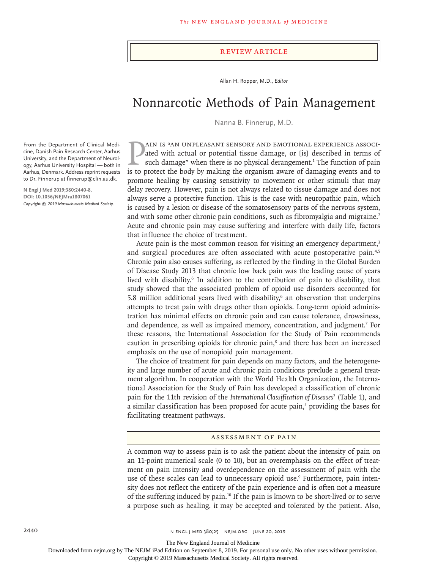#### Review Article

Allan H. Ropper, M.D., *Editor*

# Nonnarcotic Methods of Pain Management

Nanna B. Finnerup, M.D.

ated with actual or potential tissue damage, or [is] described in terms of such damage" when there is no physical derangement.<sup>1</sup> The function of pain is to protect the body by making the organism aware of damaging events ain is "an unpleasant sensory and emotional experience associated with actual or potential tissue damage, or [is] described in terms of such damage" when there is no physical derangement.<sup>1</sup> The function of pain promote healing by causing sensitivity to movement or other stimuli that may delay recovery. However, pain is not always related to tissue damage and does not always serve a protective function. This is the case with neuropathic pain, which is caused by a lesion or disease of the somatosensory parts of the nervous system, and with some other chronic pain conditions, such as fibromyalgia and migraine.<sup>2</sup> Acute and chronic pain may cause suffering and interfere with daily life, factors that influence the choice of treatment.

Acute pain is the most common reason for visiting an emergency department,<sup>3</sup> and surgical procedures are often associated with acute postoperative pain.<sup>4,5</sup> Chronic pain also causes suffering, as reflected by the finding in the Global Burden of Disease Study 2013 that chronic low back pain was the leading cause of years lived with disability.<sup>6</sup> In addition to the contribution of pain to disability, that study showed that the associated problem of opioid use disorders accounted for  $5.8$  million additional years lived with disability, $6$  an observation that underpins attempts to treat pain with drugs other than opioids. Long-term opioid administration has minimal effects on chronic pain and can cause tolerance, drowsiness, and dependence, as well as impaired memory, concentration, and judgment.<sup>7</sup> For these reasons, the International Association for the Study of Pain recommends caution in prescribing opioids for chronic pain,<sup>8</sup> and there has been an increased emphasis on the use of nonopioid pain management.

The choice of treatment for pain depends on many factors, and the heterogeneity and large number of acute and chronic pain conditions preclude a general treatment algorithm. In cooperation with the World Health Organization, the International Association for the Study of Pain has developed a classification of chronic pain for the 11th revision of the *International Classification of Diseases*<sup>2</sup> (Table 1), and a similar classification has been proposed for acute pain,<sup>5</sup> providing the bases for facilitating treatment pathways.

#### Assessment of Pain

A common way to assess pain is to ask the patient about the intensity of pain on an 11-point numerical scale (0 to 10), but an overemphasis on the effect of treatment on pain intensity and overdependence on the assessment of pain with the use of these scales can lead to unnecessary opioid use.<sup>9</sup> Furthermore, pain intensity does not reflect the entirety of the pain experience and is often not a measure of the suffering induced by pain.<sup>10</sup> If the pain is known to be short-lived or to serve a purpose such as healing, it may be accepted and tolerated by the patient. Also,

From the Department of Clinical Medicine, Danish Pain Research Center, Aarhus University, and the Department of Neurology, Aarhus University Hospital — both in Aarhus, Denmark. Address reprint requests to Dr. Finnerup at finnerup@clin.au.dk.

**N Engl J Med 2019;380:2440-8. DOI: 10.1056/NEJMra1807061** *Copyright © 2019 Massachusetts Medical Society.*

The New England Journal of Medicine

Downloaded from nejm.org by The NEJM iPad Edition on September 8, 2019. For personal use only. No other uses without permission.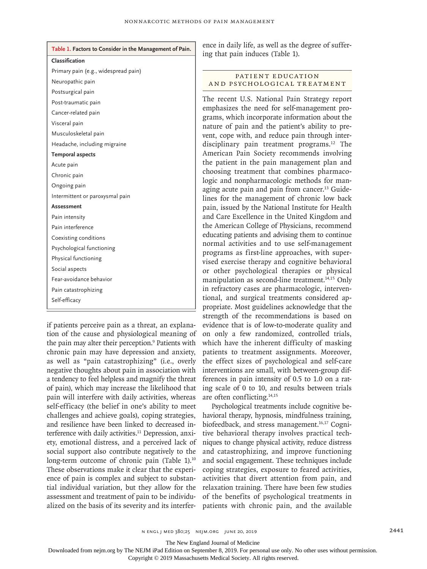| Table 1. Factors to Consider in the Management of Pain. |
|---------------------------------------------------------|
| Classification                                          |
| Primary pain (e.g., widespread pain)                    |
| Neuropathic pain                                        |
| Postsurgical pain                                       |
| Post-traumatic pain                                     |
| Cancer-related pain                                     |
| Visceral pain                                           |
| Musculoskeletal pain                                    |
| Headache, including migraine                            |
| <b>Temporal aspects</b>                                 |
| Acute pain                                              |
| Chronic pain                                            |
| Ongoing pain                                            |
| Intermittent or paroxysmal pain                         |
| Assessment                                              |
| Pain intensity                                          |
| Pain interference                                       |
| Coexisting conditions                                   |
| Psychological functioning                               |
| Physical functioning                                    |
| Social aspects                                          |
| Fear-avoidance behavior                                 |
| Pain catastrophizing                                    |
| Self-efficacy                                           |
|                                                         |

if patients perceive pain as a threat, an explanation of the cause and physiological meaning of the pain may alter their perception.<sup>9</sup> Patients with chronic pain may have depression and anxiety, as well as "pain catastrophizing" (i.e., overly negative thoughts about pain in association with a tendency to feel helpless and magnify the threat of pain), which may increase the likelihood that pain will interfere with daily activities, whereas self-efficacy (the belief in one's ability to meet challenges and achieve goals), coping strategies, and resilience have been linked to decreased interference with daily activities.<sup>11</sup> Depression, anxiety, emotional distress, and a perceived lack of social support also contribute negatively to the long-term outcome of chronic pain (Table 1).<sup>10</sup> These observations make it clear that the experience of pain is complex and subject to substantial individual variation, but they allow for the assessment and treatment of pain to be individualized on the basis of its severity and its interfer-

ence in daily life, as well as the degree of suffering that pain induces (Table 1).

# PATIENT EDUCATION and Psychological Treatment

The recent U.S. National Pain Strategy report emphasizes the need for self-management programs, which incorporate information about the nature of pain and the patient's ability to prevent, cope with, and reduce pain through interdisciplinary pain treatment programs.<sup>12</sup> The American Pain Society recommends involving the patient in the pain management plan and choosing treatment that combines pharmacologic and nonpharmacologic methods for managing acute pain and pain from cancer.<sup>13</sup> Guidelines for the management of chronic low back pain, issued by the National Institute for Health and Care Excellence in the United Kingdom and the American College of Physicians, recommend educating patients and advising them to continue normal activities and to use self-management programs as first-line approaches, with supervised exercise therapy and cognitive behavioral or other psychological therapies or physical manipulation as second-line treatment.<sup>14,15</sup> Only in refractory cases are pharmacologic, interventional, and surgical treatments considered appropriate. Most guidelines acknowledge that the strength of the recommendations is based on evidence that is of low-to-moderate quality and on only a few randomized, controlled trials, which have the inherent difficulty of masking patients to treatment assignments. Moreover, the effect sizes of psychological and self-care interventions are small, with between-group differences in pain intensity of 0.5 to 1.0 on a rating scale of 0 to 10, and results between trials are often conflicting.14,15

Psychological treatments include cognitive behavioral therapy, hypnosis, mindfulness training, biofeedback, and stress management.16,17 Cognitive behavioral therapy involves practical techniques to change physical activity, reduce distress and catastrophizing, and improve functioning and social engagement. These techniques include coping strategies, exposure to feared activities, activities that divert attention from pain, and relaxation training. There have been few studies of the benefits of psychological treatments in patients with chronic pain, and the available

The New England Journal of Medicine

Downloaded from nejm.org by The NEJM iPad Edition on September 8, 2019. For personal use only. No other uses without permission.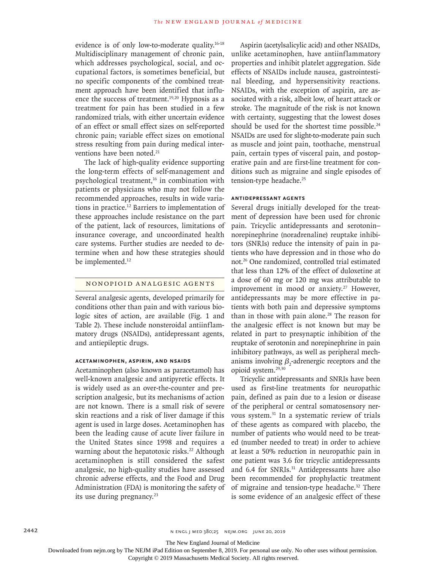evidence is of only low-to-moderate quality.16-18 Multidisciplinary management of chronic pain, which addresses psychological, social, and occupational factors, is sometimes beneficial, but no specific components of the combined treatment approach have been identified that influence the success of treatment.<sup>19,20</sup> Hypnosis as a treatment for pain has been studied in a few randomized trials, with either uncertain evidence of an effect or small effect sizes on self-reported chronic pain; variable effect sizes on emotional stress resulting from pain during medical interventions have been noted.<sup>21</sup>

The lack of high-quality evidence supporting the long-term effects of self-management and psychological treatment,16 in combination with patients or physicians who may not follow the recommended approaches, results in wide variations in practice.12 Barriers to implementation of these approaches include resistance on the part of the patient, lack of resources, limitations of insurance coverage, and uncoordinated health care systems. Further studies are needed to determine when and how these strategies should be implemented.<sup>12</sup>

#### Nonopioid Analgesic Agents

Several analgesic agents, developed primarily for conditions other than pain and with various biologic sites of action, are available (Fig. 1 and Table 2). These include nonsteroidal antiinflammatory drugs (NSAIDs), antidepressant agents, and antiepileptic drugs.

## **Acetaminophen, Aspirin, and NSAIDs**

Acetaminophen (also known as paracetamol) has well-known analgesic and antipyretic effects. It is widely used as an over-the-counter and prescription analgesic, but its mechanisms of action are not known. There is a small risk of severe skin reactions and a risk of liver damage if this agent is used in large doses. Acetaminophen has been the leading cause of acute liver failure in the United States since 1998 and requires a warning about the hepatotoxic risks.<sup>22</sup> Although acetaminophen is still considered the safest analgesic, no high-quality studies have assessed chronic adverse effects, and the Food and Drug Administration (FDA) is monitoring the safety of its use during pregnancy.<sup>23</sup>

Aspirin (acetylsalicylic acid) and other NSAIDs, unlike acetaminophen, have antiinflammatory properties and inhibit platelet aggregation. Side effects of NSAIDs include nausea, gastrointestinal bleeding, and hypersensitivity reactions. NSAIDs, with the exception of aspirin, are associated with a risk, albeit low, of heart attack or stroke. The magnitude of the risk is not known with certainty, suggesting that the lowest doses should be used for the shortest time possible.<sup>24</sup> NSAIDs are used for slight-to-moderate pain such as muscle and joint pain, toothache, menstrual pain, certain types of visceral pain, and postoperative pain and are first-line treatment for conditions such as migraine and single episodes of tension-type headache.<sup>25</sup>

#### **Antidepressant Agents**

Several drugs initially developed for the treatment of depression have been used for chronic pain. Tricyclic antidepressants and serotonin– norepinephrine (noradrenaline) reuptake inhibitors (SNRIs) reduce the intensity of pain in patients who have depression and in those who do not.26 One randomized, controlled trial estimated that less than 12% of the effect of duloxetine at a dose of 60 mg or 120 mg was attributable to improvement in mood or anxiety.<sup>27</sup> However, antidepressants may be more effective in patients with both pain and depressive symptoms than in those with pain alone.<sup>28</sup> The reason for the analgesic effect is not known but may be related in part to presynaptic inhibition of the reuptake of serotonin and norepinephrine in pain inhibitory pathways, as well as peripheral mechanisms involving  $\beta_2$ -adrenergic receptors and the opioid system.29,30

Tricyclic antidepressants and SNRIs have been used as first-line treatments for neuropathic pain, defined as pain due to a lesion or disease of the peripheral or central somatosensory nervous system.31 In a systematic review of trials of these agents as compared with placebo, the number of patients who would need to be treated (number needed to treat) in order to achieve at least a 50% reduction in neuropathic pain in one patient was 3.6 for tricyclic antidepressants and 6.4 for SNRIs.<sup>31</sup> Antidepressants have also been recommended for prophylactic treatment of migraine and tension-type headache.32 There is some evidence of an analgesic effect of these

The New England Journal of Medicine

Downloaded from nejm.org by The NEJM iPad Edition on September 8, 2019. For personal use only. No other uses without permission.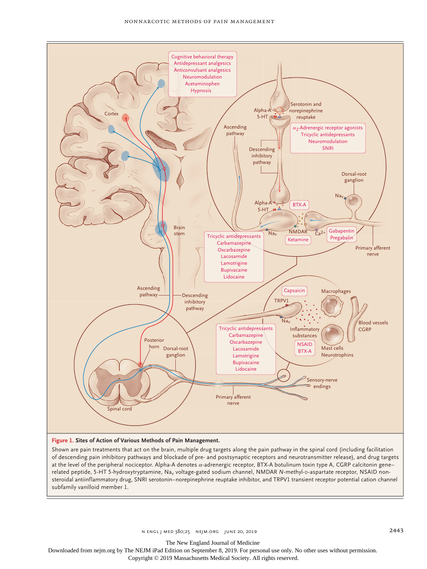

**Figure 1. Sites of Action of Various Methods of Pain Management.**

Shown are pain treatments that act on the brain, multiple drug targets along the pain pathway in the spinal cord (including facilitation of descending pain inhibitory pathways and blockade of pre- and postsynaptic receptors and neurotransmitter release), and drug targets at the level of the peripheral nociceptor. Alpha-A denotes α-adrenergic receptor, BTX-A botulinum toxin type A, CGRP calcitonin gene– related peptide, 5-HT 5-hydroxytryptamine, Na<sub>v</sub> voltage-gated sodium channel, NMDAR *N*-methyl-D-aspartate receptor, NSAID nonsteroidal antiinflammatory drug, SNRI serotonin–norepinephrine reuptake inhibitor, and TRPV1 transient receptor potential cation channel subfamily vanilloid member 1.

The New England Journal of Medicine

Downloaded from nejm.org by The NEJM iPad Edition on September 8, 2019. For personal use only. No other uses without permission.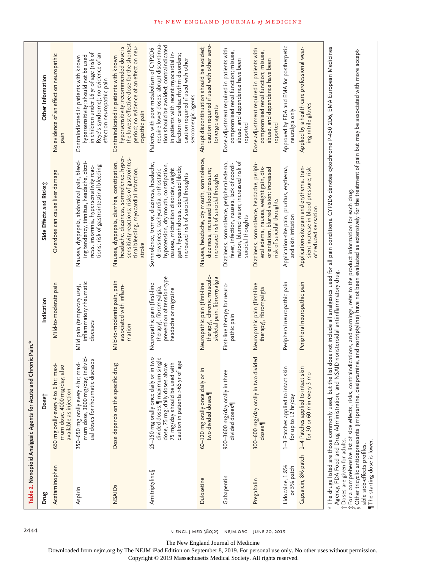|                                | Chronic Pain.*<br>Table 2. Nonopioid Analgesic Agents for Acute and                                                                                                                                                                                                            |                                                                                                               |                                                                                                                                                                                                                                                                                                                                                                                   |                                                                                                                                                                                                                                                                                 |
|--------------------------------|--------------------------------------------------------------------------------------------------------------------------------------------------------------------------------------------------------------------------------------------------------------------------------|---------------------------------------------------------------------------------------------------------------|-----------------------------------------------------------------------------------------------------------------------------------------------------------------------------------------------------------------------------------------------------------------------------------------------------------------------------------------------------------------------------------|---------------------------------------------------------------------------------------------------------------------------------------------------------------------------------------------------------------------------------------------------------------------------------|
| Drug                           | Dose <sup>-</sup>                                                                                                                                                                                                                                                              | Indication                                                                                                    | Side Effects and Risks;                                                                                                                                                                                                                                                                                                                                                           | Other Information                                                                                                                                                                                                                                                               |
| Acetaminophen                  | maxi-<br>mum dose, 4000 mg/day; also<br>650 mg orally every 4 to 6 hr;<br>available as injection                                                                                                                                                                               | Mild-to-moderate pain                                                                                         | Overdose can cause liver damage                                                                                                                                                                                                                                                                                                                                                   | No evidence of an effect on neuropathic<br>pain                                                                                                                                                                                                                                 |
| Aspirin                        | mum dose, 3600 mg/day; individ<br>ual doses for rheumatic diseases<br>350-650 mg orally every 4 hr; maxi-                                                                                                                                                                      | inflammatory rheumatic<br>Mild pain (temporary use)<br>diseases                                               | Nausea, dyspepsia, abdominal pain, bleed-<br>ing tendency, tinnitus, headache, dizzi-<br>tions; risk of gastrointestinal bleeding<br>ness, insomnia, hypersensitivity reac-                                                                                                                                                                                                       | in children under 16 yr of age (risk of<br>Reye's syndrome); no evidence of an<br>hypersensitivity; should not be used<br>Contraindicated in patients with known<br>effect on neuropathic pain                                                                                  |
| NSAIDs                         | Dose depends on the specific drug                                                                                                                                                                                                                                              | Mild-to-moderate pain, pain<br>associated with inflam-<br>mation                                              | headache, dizziness, somnolence, hyper-<br>sensitivity reactions; risks of gastrointes-<br>Nausea, dyspepsia, diarrhea, constipation,<br>tinal bleeding, myocardial infarction,<br>stroke                                                                                                                                                                                         | the lowest effective dose for the shortest<br>period; no evidence of an effect on neu-<br>hypersensitivity; recommended dose is<br>Contraindicated in patients with known<br>ropathic pain                                                                                      |
| Amitriptylines                 | 25–150 mg orally once daily or in two<br>divided doses;¶ maximum single<br>caution in patients >65 yr of age<br>75 mg/day should be used with<br>dose, 75 mg; daily doses above                                                                                                | prevention of tension-type<br>Neuropathic pain (first-line<br>therapy), fibromyalgia,<br>headache or migraine | Somnolence, tremor, dizziness, headache,<br>hypotension, dry mouth, constipation,<br>gain, hyperhidrosis, decreased libido;<br>nausea, micturition disorder, weight<br>drowsiness, tachycardia, orthostatic<br>increased risk of suicidal thoughts                                                                                                                                | require lower doses; abrupt discontinua-<br>tion should be avoided; contraindicated<br>Patients with poor metabolism of CYP2D6<br>in patients with recent myocardial in-<br>farction or cardiac rhythm disorders;<br>caution required if used with other<br>serotonergic agents |
| Duloxetine                     | or in<br>60-120 mg orally once daily<br>two divided doses                                                                                                                                                                                                                      | therapy), chronic musculo-<br>skeletal pain, fibromyalgia<br>Neuropathic pain (first-line                     | Nausea, headache, dry mouth, somnolence,<br>dizziness, increased blood pressure;<br>increased risk of suicidal thoughts                                                                                                                                                                                                                                                           | caution required if used with other sero-<br>Abrupt discontinuation should be avoided;<br>tonergic agents                                                                                                                                                                       |
| Gabapentin                     | 900-3600 mg/day orally in three<br>divided doses                                                                                                                                                                                                                               | First-line therapy for neuro-<br>pathic pain                                                                  | nation, blurred vision; increased risk of<br>Dizziness, somnolence, peripheral edema,<br>fever, infection, nausea, lack of coordi-<br>suicidal thoughts                                                                                                                                                                                                                           | Dose adjustment required in patients with<br>compromised renal function; misuse,<br>abuse, and dependence have been<br>reported                                                                                                                                                 |
| Pregabalin                     | 300-600 mg/day orally in two divided<br>doses                                                                                                                                                                                                                                  | Neuropathic pain (first-line<br>therapy), fibromyalgia                                                        | Dizziness, somnolence, headache, periph-<br>orientation, blurred vision; increased<br>eral edema, nausea, weight gain, dis-<br>risk of suicidal thoughts                                                                                                                                                                                                                          | Dose adjustment required in patients with<br>compromised renal function; misuse,<br>abuse, and dependence have been<br>reported                                                                                                                                                 |
| Lidocaine, 1.8%<br>or 5% patch | 1–3 Patches applied to intact skin<br>for up to 12 hr/day                                                                                                                                                                                                                      | Peripheral neuropathic pain                                                                                   | Application-site pain, pruritus, erythema<br>and skin irritation                                                                                                                                                                                                                                                                                                                  | Approved by FDA and EMA for postherpetic<br>neuralgia only                                                                                                                                                                                                                      |
| Capsaicin, 8% patch            | 1-4 Patches applied to intact skin<br>for 30 or 60 min every 3 mo                                                                                                                                                                                                              | Peripheral neuropathic pain                                                                                   | Application-site pain and erythema, tran-<br>sient increase in blood pressure; risk<br>of reduced sensation                                                                                                                                                                                                                                                                       | Applied by a health care professional wear-<br>ing nitrile gloves                                                                                                                                                                                                               |
| T Doses are given for adults.  | t for a comprehensive list of side effects, risks, contraindications, and warnings, refer to the product information for each drug: والله عليه المستفادة المستقادة المستقادة المستقادة المستقادة المستقادة المستقادة المستقاد<br>Agency, FDA Food and Drug Administration, and | NSAID nonsteroidal antiinflammatory drug                                                                      | * The drugs listed are those commonly used, but the list does not include all analgesics used for all pain conditions. CYP2D6 denotes cytochrome P450 2D6, EMA European Medicines<br>$\int$ Other tricyclic antidepressants (imipramine, desipramine, and nortriptyline) have not been evaluated as extensively for the treatment of pain but may be associated with more accept- |                                                                                                                                                                                                                                                                                 |

able side-effects profiles. ¶The starting dose is lower.

2444 244 n engl j med 380;25 nejm.org June 20, 2019

The New England Journal of Medicine

Downloaded from nejm.org by The NEJM iPad Edition on September 8, 2019. For personal use only. No other uses without permission.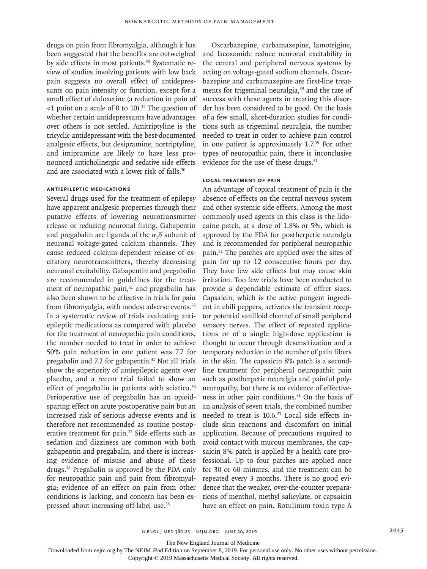drugs on pain from fibromyalgia, although it has been suggested that the benefits are outweighed by side effects in most patients.<sup>33</sup> Systematic review of studies involving patients with low back pain suggests no overall effect of antidepressants on pain intensity or function, except for a small effect of duloxetine (a reduction in pain of  $\leq$ 1 point on a scale of 0 to 10).<sup>34</sup> The question of whether certain antidepressants have advantages over others is not settled. Amitriptyline is the tricyclic antidepressant with the best-documented analgesic effects, but desipramine, nortriptyline, and imipramine are likely to have less pronounced anticholinergic and sedative side effects and are associated with a lower risk of falls.<sup>30</sup>

#### **Antiepileptic Medications**

Several drugs used for the treatment of epilepsy have apparent analgesic properties through their putative effects of lowering neurotransmitter release or reducing neuronal firing. Gabapentin and pregabalin are ligands of the  $\alpha_{2}^{\phantom{\dag}}$  subunit of neuronal voltage-gated calcium channels. They cause reduced calcium-dependent release of excitatory neurotransmitters, thereby decreasing neuronal excitability. Gabapentin and pregabalin are recommended in guidelines for the treatment of neuropathic pain,<sup>31</sup> and pregabalin has also been shown to be effective in trials for pain from fibromyalgia, with modest adverse events.<sup>35</sup> In a systematic review of trials evaluating antiepileptic medications as compared with placebo for the treatment of neuropathic pain conditions, the number needed to treat in order to achieve 50% pain reduction in one patient was 7.7 for pregabalin and 7.2 for gabapentin. $31$  Not all trials show the superiority of antiepileptic agents over placebo, and a recent trial failed to show an effect of pregabalin in patients with sciatica.<sup>36</sup> Perioperative use of pregabalin has an opioidsparing effect on acute postoperative pain but an increased risk of serious adverse events and is therefore not recommended as routine postoperative treatment for pain.<sup>37</sup> Side effects such as sedation and dizziness are common with both gabapentin and pregabalin, and there is increasing evidence of misuse and abuse of these drugs.38 Pregabalin is approved by the FDA only for neuropathic pain and pain from fibromyalgia; evidence of an effect on pain from other conditions is lacking, and concern has been expressed about increasing off-label use.<sup>38</sup>

Oxcarbazepine, carbamazepine, lamotrigine, and lacosamide reduce neuronal excitability in the central and peripheral nervous systems by acting on voltage-gated sodium channels. Oxcarbazepine and carbamazepine are first-line treatments for trigeminal neuralgia,<sup>39</sup> and the rate of success with these agents in treating this disorder has been considered to be good. On the basis of a few small, short-duration studies for conditions such as trigeminal neuralgia, the number needed to treat in order to achieve pain control in one patient is approximately 1.7.39 For other types of neuropathic pain, there is inconclusive evidence for the use of these drugs.<sup>31</sup>

#### **Local Treatment of Pain**

An advantage of topical treatment of pain is the absence of effects on the central nervous system and other systemic side effects. Among the most commonly used agents in this class is the lidocaine patch, at a dose of 1.8% or 5%, which is approved by the FDA for postherpetic neuralgia and is recommended for peripheral neuropathic pain.31 The patches are applied over the sites of pain for up to 12 consecutive hours per day. They have few side effects but may cause skin irritation. Too few trials have been conducted to provide a dependable estimate of effect sizes. Capsaicin, which is the active pungent ingredient in chili peppers, activates the transient receptor potential vanilloid channel of small peripheral sensory nerves. The effect of repeated applications or of a single high-dose application is thought to occur through desensitization and a temporary reduction in the number of pain fibers in the skin. The capsaicin 8% patch is a secondline treatment for peripheral neuropathic pain such as postherpetic neuralgia and painful polyneuropathy, but there is no evidence of effectiveness in other pain conditions.31 On the basis of an analysis of seven trials, the combined number needed to treat is 10.6.31 Local side effects include skin reactions and discomfort on initial application. Because of precautions required to avoid contact with mucous membranes, the capsaicin 8% patch is applied by a health care professional. Up to four patches are applied once for 30 or 60 minutes, and the treatment can be repeated every 3 months. There is no good evidence that the weaker, over-the-counter preparations of menthol, methyl salicylate, or capsaicin have an effect on pain. Botulinum toxin type A

The New England Journal of Medicine

Downloaded from nejm.org by The NEJM iPad Edition on September 8, 2019. For personal use only. No other uses without permission.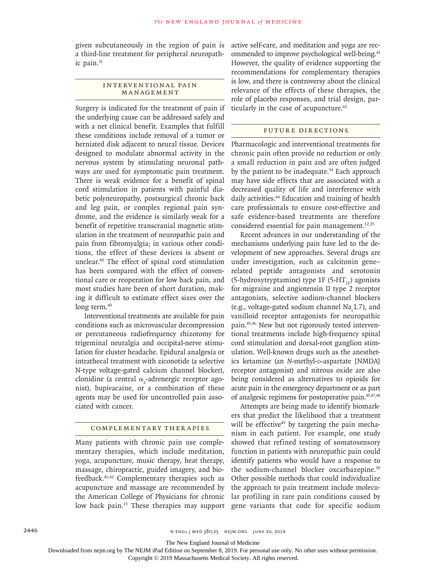given subcutaneously in the region of pain is a third-line treatment for peripheral neuropathic pain.<sup>31</sup>

#### INTERVENTIONAL PAIN Management

Surgery is indicated for the treatment of pain if the underlying cause can be addressed safely and with a net clinical benefit. Examples that fulfill these conditions include removal of a tumor or herniated disk adjacent to neural tissue. Devices designed to modulate abnormal activity in the nervous system by stimulating neuronal pathways are used for symptomatic pain treatment. There is weak evidence for a benefit of spinal cord stimulation in patients with painful diabetic polyneuropathy, postsurgical chronic back and leg pain, or complex regional pain syndrome, and the evidence is similarly weak for a benefit of repetitive transcranial magnetic stimulation in the treatment of neuropathic pain and pain from fibromyalgia; in various other conditions, the effect of these devices is absent or unclear.40 The effect of spinal cord stimulation has been compared with the effect of conventional care or reoperation for low back pain, and most studies have been of short duration, making it difficult to estimate effect sizes over the long term.<sup>40</sup>

Interventional treatments are available for pain conditions such as microvascular decompression or percutaneous radiofrequency rhizotomy for trigeminal neuralgia and occipital-nerve stimulation for cluster headache. Epidural analgesia or intrathecal treatment with ziconotide (a selective N-type voltage-gated calcium channel blocker), clonidine (a central  $\alpha_{2}$ -adrenergic receptor agonist), bupivacaine, or a combination of these agents may be used for uncontrolled pain associated with cancer.

# Complementary Therapies

Many patients with chronic pain use complementary therapies, which include meditation, yoga, acupuncture, music therapy, heat therapy, massage, chiropractic, guided imagery, and biofeedback.41,42 Complementary therapies such as acupuncture and massage are recommended by the American College of Physicians for chronic low back pain.<sup>15</sup> These therapies may support active self-care, and meditation and yoga are recommended to improve psychological well-being.<sup>41</sup> However, the quality of evidence supporting the recommendations for complementary therapies is low, and there is controversy about the clinical relevance of the effects of these therapies, the role of placebo responses, and trial design, particularly in the case of acupuncture.<sup>43</sup>

## Future Directions

Pharmacologic and interventional treatments for chronic pain often provide no reduction or only a small reduction in pain and are often judged by the patient to be inadequate.<sup>34</sup> Each approach may have side effects that are associated with a decreased quality of life and interference with daily activities.44 Education and training of health care professionals to ensure cost-effective and safe evidence-based treatments are therefore considered essential for pain management. $12,25$ 

Recent advances in our understanding of the mechanisms underlying pain have led to the development of new approaches. Several drugs are under investigation, such as calcitonin gene– related peptide antagonists and serotonin (5-hydroxytryptamine) type 1F (5-HT<sub>1F</sub>) agonists for migraine and angiotensin II type 2 receptor antagonists, selective sodium-channel blockers (e.g., voltage-gated sodium channel  $\text{Na}_y(1.7)$ , and vanilloid receptor antagonists for neuropathic pain.45,46 New but not rigorously tested interventional treatments include high-frequency spinal cord stimulation and dorsal-root ganglion stimulation. Well-known drugs such as the anesthetics ketamine (an *N*-methyl-p-aspartate [NMDA] receptor antagonist) and nitrous oxide are also being considered as alternatives to opioids for acute pain in the emergency department or as part of analgesic regimens for postoperative pain.45,47,48

Attempts are being made to identify biomarkers that predict the likelihood that a treatment will be effective<sup>49</sup> by targeting the pain mechanism in each patient. For example, one study showed that refined testing of somatosensory function in patients with neuropathic pain could identify patients who would have a response to the sodium-channel blocker oxcarbazepine.<sup>50</sup> Other possible methods that could individualize the approach to pain treatment include molecular profiling in rare pain conditions caused by gene variants that code for specific sodium

The New England Journal of Medicine

Downloaded from nejm.org by The NEJM iPad Edition on September 8, 2019. For personal use only. No other uses without permission.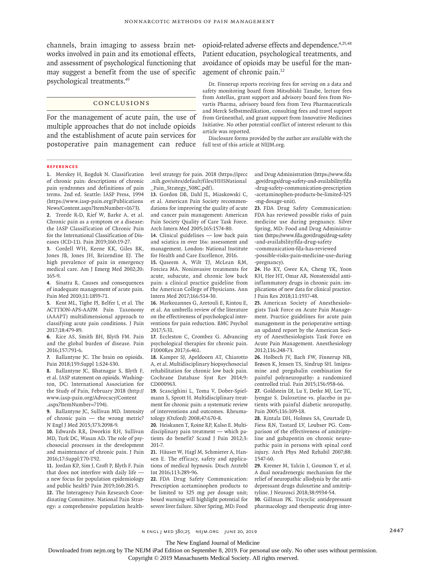channels, brain imaging to assess brain networks involved in pain and its emotional effects, and assessment of psychological functioning that may suggest a benefit from the use of specific psychological treatments.49

## Conclusions

For the management of acute pain, the use of multiple approaches that do not include opioids and the establishment of acute pain services for postoperative pain management can reduce full text of this article at NEJM.org.

opioid-related adverse effects and dependence.4,25,48 Patient education, psychological treatments, and avoidance of opioids may be useful for the management of chronic pain.12

Dr. Finnerup reports receiving fees for serving on a data and safety monitoring board from Mitsubishi Tanabe, lecture fees from Astellas, grant support and advisory board fees from Novartis Pharma, advisory board fees from Teva Pharmaceuticals and Merck Selbstmedikation, consulting fees and travel support from Grünenthal, and grant support from Innovative Medicines Initiative. No other potential conflict of interest relevant to this article was reported.

Disclosure forms provided by the author are available with the

#### **References**

**1.** Merskey H, Bogduk N. Classification of chronic pain: descriptions of chronic pain syndromes and definitions of pain terms. 2nd ed. Seattle: IASP Press, 1994 (https://www.iasp-pain.org/Publications News/Content.aspx?ItemNumber=1673). **2.** Treede R-D, Rief W, Barke A, et al. Chronic pain as a symptom or a disease: the IASP Classification of Chronic Pain

for the International Classification of Diseases (ICD-11). Pain 2019;160:19-27. **3.** Cordell WH, Keene KK, Giles BK,

Jones JB, Jones JH, Brizendine EJ. The high prevalence of pain in emergency medical care. Am J Emerg Med 2002;20: 165-9.

**4.** Sinatra R. Causes and consequences of inadequate management of acute pain. Pain Med 2010;11:1859-71.

**5.** Kent ML, Tighe PJ, Belfer I, et al. The ACTTION-APS-AAPM Pain Taxonomy (AAAPT) multidimensional approach to classifying acute pain conditions. J Pain 2017;18:479-89.

**6.** Rice AS, Smith BH, Blyth FM. Pain and the global burden of disease. Pain 2016;157:791-6.

**7.** Ballantyne JC. The brain on opioids. Pain 2018;159:Suppl 1:S24-S30.

**8.** Ballantyne JC, Bhatnagar S, Blyth F, et al. IASP statement on opioids. Washington, DC: International Association for the Study of Pain, February 2018 (http:// www.iasp-pain.org/Advocacy/Content .aspx?ItemNumber=7194).

**9.** Ballantyne JC, Sullivan MD. Intensity of chronic pain — the wrong metric? N Engl J Med 2015;373:2098-9.

**10.** Edwards RR, Dworkin RH, Sullivan MD, Turk DC, Wasan AD. The role of psychosocial processes in the development and maintenance of chronic pain. J Pain 2016;17:Suppl:T70-T92.

**11.** Jordan KP, Sim J, Croft P, Blyth F. Pain that does not interfere with daily life a new focus for population epidemiology and public health? Pain 2019;160:281-5. **12.** The Interagency Pain Research Coordinating Committee. National Pain Strategy: a comprehensive population healthlevel strategy for pain. 2018 (https://iprcc .nih.gov/sites/default/files/HHSNational \_Pain\_Strategy\_508C.pdf).

**13.** Gordon DB, Dahl JL, Miaskowski C, et al. American Pain Society recommendations for improving the quality of acute and cancer pain management: American Pain Society Quality of Care Task Force. Arch Intern Med 2005;165:1574-80.

**14.** Clinical guidelines — low back pain and sciatica in over 16s: assessment and management. London: National Institute for Health and Care Excellence, 2016.

**15.** Qaseem A, Wilt TJ, McLean RM, Forciea MA. Noninvasive treatments for acute, subacute, and chronic low back pain: a clinical practice guideline from the American College of Physicians. Ann Intern Med 2017;166:514-30.

**16.** Markozannes G, Aretouli E, Rintou E, et al. An umbrella review of the literature on the effectiveness of psychological interventions for pain reduction. BMC Psychol 2017;5:31.

**17.** Eccleston C, Crombez G. Advancing psychological therapies for chronic pain. F1000Res 2017;6:461.

**18.** Kamper SJ, Apeldoorn AT, Chiarotto A, et al. Multidisciplinary biopsychosocial rehabilitation for chronic low back pain. Cochrane Database Syst Rev 2014;9: CD000963.

**19.** Scascighini L, Toma V, Dober-Spielmann S, Sprott H. Multidisciplinary treatment for chronic pain: a systematic review of interventions and outcomes. Rheumatology (Oxford) 2008;47:670-8.

**20.** Heiskanen T, Roine RP, Kalso E. Multidisciplinary pain treatment — which patients do benefit? Scand J Pain 2012;3: 201-7.

**21.** Häuser W, Hagl M, Schmierer A, Hansen E. The efficacy, safety and applications of medical hypnosis. Dtsch Arztebl Int 2016;113:289-96.

**22.** FDA Drug Safety Communication: Prescription acetaminophen products to be limited to 325 mg per dosage unit; boxed warning will highlight potential for severe liver failure. Silver Spring, MD: Food and Drug Administration (https://www.fda .gov/drugs/drug-safety-and-availability/fda -drug-safety-communication-prescription -acetaminophen-products-be-limited-325 -mg-dosage-unit).

**23.** FDA Drug Safety Communication: FDA has reviewed possible risks of pain medicine use during pregnancy. Silver Spring, MD: Food and Drug Administration (https://www.fda.gov/drugs/drug-safety -and-availability/fda-drug-safety

-communication-fda-has-reviewed

-possible-risks-pain-medicine-use-during -pregnancy).

**24.** Ho KY, Gwee KA, Cheng YK, Yoon KH, Hee HT, Omar AR. Nonsteroidal antiinflammatory drugs in chronic pain: implications of new data for clinical practice. J Pain Res 2018;11:1937-48.

**25.** American Society of Anesthesiologists Task Force on Acute Pain Management. Practice guidelines for acute pain management in the perioperative setting: an updated report by the American Society of Anesthesiologists Task Force on Acute Pain Management. Anesthesiology 2012;116:248-73.

**26.** Holbech JV, Bach FW, Finnerup NB, Brøsen K, Jensen TS, Sindrup SH. Imipramine and pregabalin combination for painful polyneuropathy: a randomized controlled trial. Pain 2015;156:958-66.

**27.** Goldstein DJ, Lu Y, Detke MJ, Lee TC, Iyengar S. Duloxetine vs. placebo in patients with painful diabetic neuropathy. Pain 2005;116:109-18.

**28.** Rintala DH, Holmes SA, Courtade D, Fiess RN, Tastard LV, Loubser PG. Comparison of the effectiveness of amitriptyline and gabapentin on chronic neuropathic pain in persons with spinal cord injury. Arch Phys Med Rehabil 2007;88: 1547-60.

**29.** Kremer M, Yalcin I, Goumon Y, et al. A dual noradrenergic mechanism for the relief of neuropathic allodynia by the antidepressant drugs duloxetine and amitriptyline. J Neurosci 2018;38:9934-54.

**30.** Gillman PK. Tricyclic antidepressant pharmacology and therapeutic drug inter-

n engl j med 380;25 nejm.org June 20, 2019 2447

The New England Journal of Medicine

Downloaded from nejm.org by The NEJM iPad Edition on September 8, 2019. For personal use only. No other uses without permission.